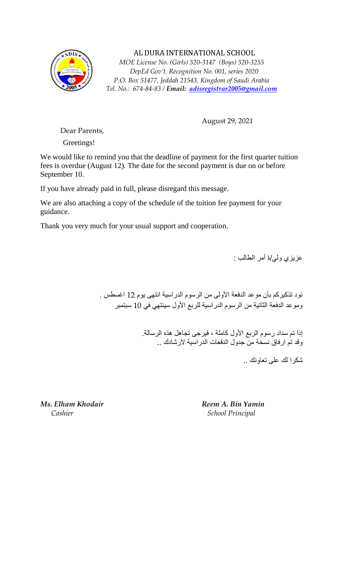

 AL DURA INTERNATIONAL SCHOOL *MOE License No. (Girls) 520-3147 (Boys) 520-3255 DepEd Gov't. Recognition No. 001, series 2020 P.O. Box 51477, Jeddah 21543, Kingdom of Saudi Arabia Tel. No.: 674-84-83 / Email: [adisregistrar2005@gmail.com](mailto:adisregistrar2005@gmail.com)*

August 29, 2021

Dear Parents,

Greetings!

We would like to remind you that the deadline of payment for the first quarter tuition fees is overdue (August 12). The date for the second payment is due on or before September 10.

If you have already paid in full, please disregard this message.

We are also attaching a copy of the schedule of the tuition fee payment for your guidance.

Thank you very much for your usual support and cooperation.

عزيزي ولي /ة أمر الطالب :

نود تذكيركم بأن موعد الدفعة الأولى من الرسوم الدراسية انتهى يوم 12 اغسطس . وموعد الدفعة الثانية من الرسوم الدراسية للربع األول سينتهي في 10 سبتمبر

> إذا تم سداد رسوم الربع األول كاملة ، فيرجى تجاهل هذه الرسالة. وقد تم ارفاق نسخة من جدول الدفعات الدراسية الرشادك ..

> > شكرا لك على تعاونك ..

*Ms. Elham Khodair Reem A. Bin Yamin Cashier* School Principal